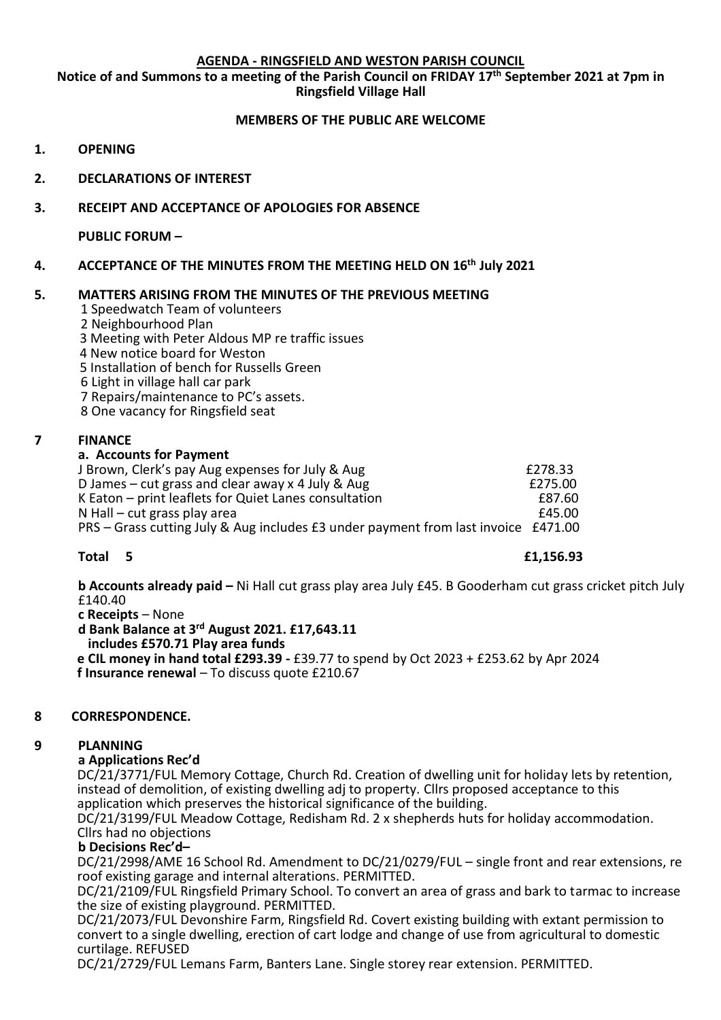### **AGENDA - RINGSFIELD AND WESTON PARISH COUNCIL**

**Notice of and Summons to a meeting of the Parish Council on FRIDAY 17th September 2021 at 7pm in Ringsfield Village Hall**

## **MEMBERS OF THE PUBLIC ARE WELCOME**

- **1. OPENING**
- **2. DECLARATIONS OF INTEREST**
- **3. RECEIPT AND ACCEPTANCE OF APOLOGIES FOR ABSENCE**

**PUBLIC FORUM –**

# **4. ACCEPTANCE OF THE MINUTES FROM THE MEETING HELD ON 16th July 2021**

# **5. MATTERS ARISING FROM THE MINUTES OF THE PREVIOUS MEETING**

1 Speedwatch Team of volunteers

- 2 Neighbourhood Plan
- 3 Meeting with Peter Aldous MP re traffic issues
- 4 New notice board for Weston
- 5 Installation of bench for Russells Green
- 6 Light in village hall car park
- 7 Repairs/maintenance to PC's assets.
- 8 One vacancy for Ringsfield seat

## **7 FINANCE**

## **a. Accounts for Payment**

| J Brown, Clerk's pay Aug expenses for July & Aug                                   | £278.33 |
|------------------------------------------------------------------------------------|---------|
| D James – cut grass and clear away x 4 July & Aug                                  | £275.00 |
| K Eaton - print leaflets for Quiet Lanes consultation                              | £87.60  |
| $N$ Hall – cut grass play area                                                     | £45.00  |
| PRS – Grass cutting July & Aug includes £3 under payment from last invoice £471.00 |         |

**Total 5 £1,156.93**

**b Accounts already paid –** Ni Hall cut grass play area July £45. B Gooderham cut grass cricket pitch July £140.40

- **c Receipts** None
- **d Bank Balance at 3rd August 2021. £17,643.11**

 **includes £570.71 Play area funds**

 **e CIL money in hand total £293.39 -** £39.77 to spend by Oct 2023 + £253.62 by Apr 2024 **f Insurance renewal** – To discuss quote £210.67

## **8 CORRESPONDENCE.**

## **9 PLANNING**

## **a Applications Rec'd**

DC/21/3771/FUL Memory Cottage, Church Rd. Creation of dwelling unit for holiday lets by retention, instead of demolition, of existing dwelling adj to property. Cllrs proposed acceptance to this application which preserves the historical significance of the building.

 DC/21/3199/FUL Meadow Cottage, Redisham Rd. 2 x shepherds huts for holiday accommodation. Cllrs had no objections

## **b Decisions Rec'd–**

DC/21/2998/AME 16 School Rd. Amendment to DC/21/0279/FUL – single front and rear extensions, re roof existing garage and internal alterations. PERMITTED.

 DC/21/2109/FUL Ringsfield Primary School. To convert an area of grass and bark to tarmac to increase the size of existing playground. PERMITTED.

 DC/21/2073/FUL Devonshire Farm, Ringsfield Rd. Covert existing building with extant permission to convert to a single dwelling, erection of cart lodge and change of use from agricultural to domestic curtilage. REFUSED

DC/21/2729/FUL Lemans Farm, Banters Lane. Single storey rear extension. PERMITTED.